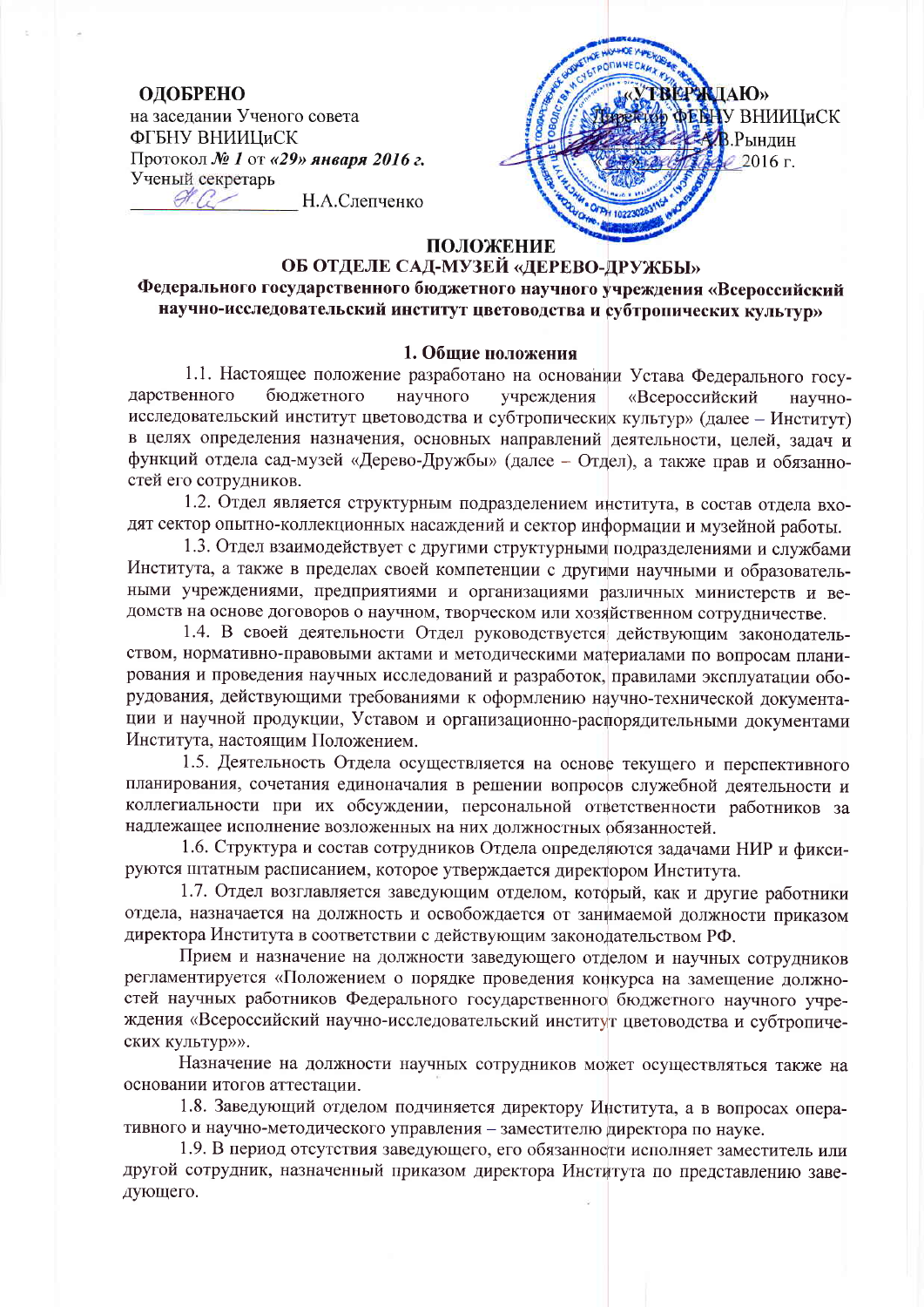## ОДОБРЕНО

на заселании Ученого совета ФГБНУ ВНИИЦиСК Протокол № 1 от «29» января 2016 г. Ученый секретарь  $\mathscr{A}$ Н.А.Слепченко

**ТВЕРЖДАЮ» ДЕВНУ ВНИИЦИСК AB** Рынлин  $\ell$  2016 г.

# ПОЛОЖЕНИЕ

# ОБ ОТДЕЛЕ САД-МУЗЕЙ «ДЕРЕВО-ДРУЖБЫ» Федерального государственного бюджетного научного учреждения «Всероссийский научно-исследовательский институт цветоводства и субтропических культур»

### 1. Обшие положения

1.1. Настоящее положение разработано на основании Устава Федерального государственного бюджетного научного учреждения «Всероссийский научноисследовательский институт цветоводства и субтропических культур» (далее - Институт) в целях определения назначения, основных направлений деятельности, целей, задач и функций отдела сад-музей «Дерево-Дружбы» (далее - Отдел), а также прав и обязанностей его сотрудников.

1.2. Отдел является структурным подразделением института, в состав отдела входят сектор опытно-коллекционных насаждений и сектор информации и музейной работы.

1.3. Отдел взаимодействует с другими структурными подразделениями и службами Института, а также в пределах своей компетенции с другими научными и образовательными учреждениями, предприятиями и организациями различных министерств и ведомств на основе договоров о научном, творческом или хозяйственном сотрудничестве.

1.4. В своей деятельности Отдел руководствуется действующим законодательством, нормативно-правовыми актами и методическими материалами по вопросам планирования и проведения научных исследований и разработок, правилами эксплуатации оборудования, действующими требованиями к оформлению научно-технической документации и научной продукции, Уставом и организационно-распорядительными документами Института, настоящим Положением.

1.5. Деятельность Отдела осуществляется на основе текущего и перспективного планирования, сочетания единоначалия в решении вопросов служебной деятельности и коллегиальности при их обсуждении, персональной ответственности работников за надлежащее исполнение возложенных на них должностных обязанностей.

1.6. Структура и состав сотрудников Отдела определяются задачами НИР и фиксируются штатным расписанием, которое утверждается директором Института.

1.7. Отдел возглавляется заведующим отделом, который, как и другие работники отдела, назначается на должность и освобождается от занимаемой должности приказом директора Института в соответствии с действующим законодательством РФ.

Прием и назначение на должности заведующего отделом и научных сотрудников регламентируется «Положением о порядке проведения конкурса на замещение должностей научных работников Федерального государственного бюджетного научного учреждения «Всероссийский научно-исследовательский институт цветоводства и субтропических культур»».

Назначение на должности научных сотрудников может осуществляться также на основании итогов аттестации.

1.8. Заведующий отделом подчиняется директору Института, а в вопросах оперативного и научно-методического управления - заместителю директора по науке.

1.9. В период отсутствия заведующего, его обязанности исполняет заместитель или другой сотрудник, назначенный приказом директора Института по представлению заведующего.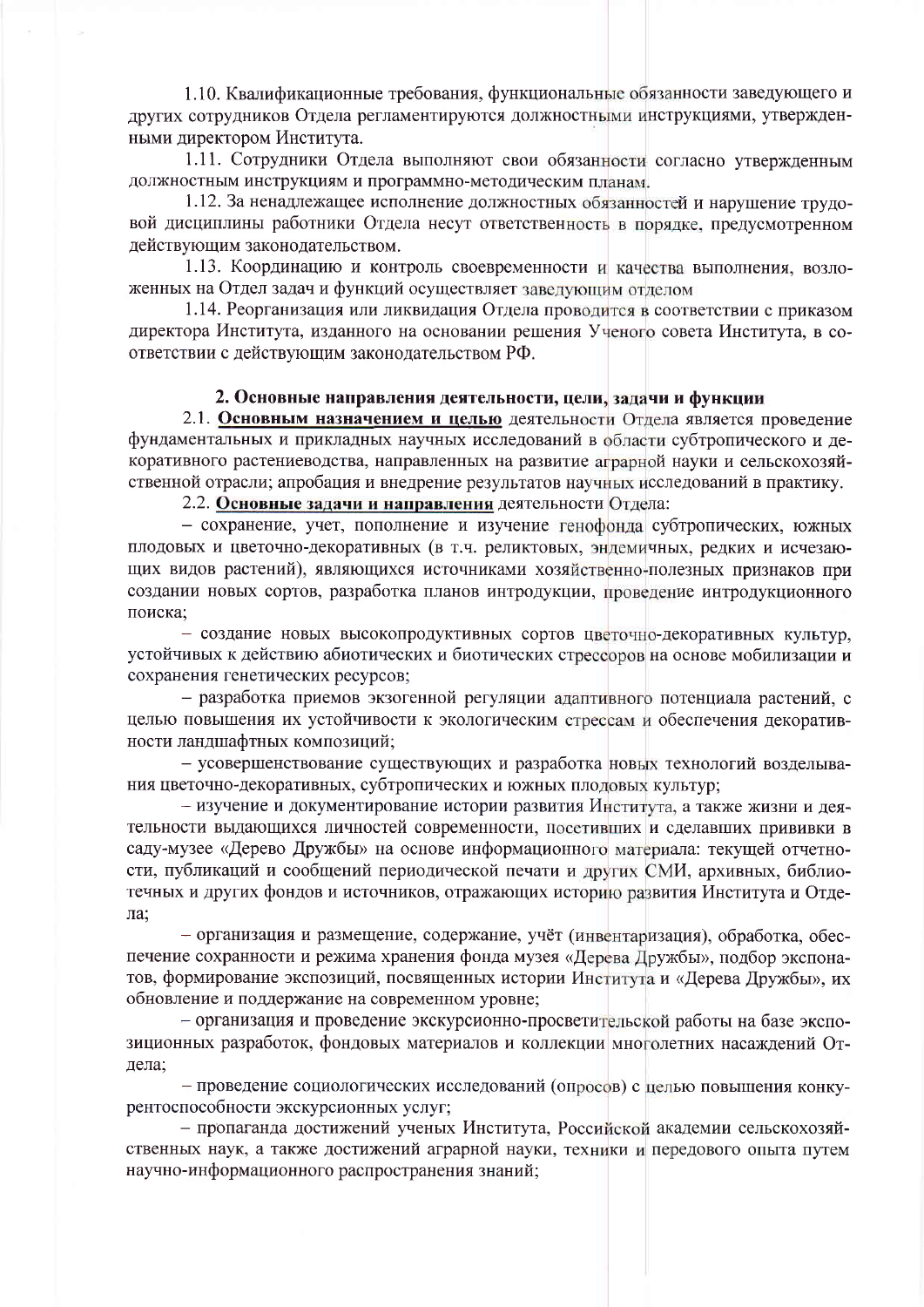1.10. Квалификационные требования, функциональные обязанности заведующего и других сотрудников Отдела регламентируются должностными инструкциями, утвержденными директором Института.

1.11. Сотрудники Отдела выполняют свои обязанности согласно утвержденным должностным инструкциям и программно-методическим планам.

1.12. За ненадлежащее исполнение должностных обязанностей и нарушение трудовой дисциплины работники Отдела несут ответственность в порядке, предусмотренном действующим законодательством.

1.13. Координацию и контроль своевременности и качества выполнения, возложенных на Отдел задач и функций осуществляет завелующим отделом

1.14. Реорганизация или ликвидация Отдела проводится в соответствии с приказом директора Института, изданного на основании решения Ученого совета Института, в соответствии с действующим законодательством РФ.

### 2. Основные направления деятельности, цели, задачи и функции

2.1. Основным назначением и целью деятельности Отдела является проведение фундаментальных и прикладных научных исследований в области субтропического и декоративного растениеводства, направленных на развитие аграрной науки и сельскохозяйственной отрасли; апробация и внедрение результатов научных исследований в практику.

2.2. Основные задачи и направления деятельности Отдела:

- сохранение, учет, пополнение и изучение генофонда субтропических, южных плодовых и цветочно-декоративных (в т.ч. реликтовых, эндемичных, редких и исчезающих видов растений), являющихся источниками хозяйственно-полезных признаков при создании новых сортов, разработка планов интродукции, проведение интродукционного поиска:

- создание новых высокопродуктивных сортов цветочно-декоративных культур, устойчивых к действию абиотических и биотических стрессоров на основе мобилизации и сохранения генетических ресурсов;

- разработка приемов экзогенной регуляции адаптивного потенциала растений, с целью повышения их устойчивости к экологическим стрессам и обеспечения декоративности ландшафтных композиций:

- усовершенствование существующих и разработка новых технологий возделывания цветочно-декоративных, субтропических и южных плодовых культур;

- изучение и документирование истории развития Института, а также жизни и деятельности выдающихся личностей современности, посетивших и слелавших прививки в саду-музее «Дерево Дружбы» на основе информационного материала: текущей отчетности, публикаций и сообщений периодической печати и других СМИ, архивных, библиотечных и других фондов и источников, отражающих историю развития Института и Отдела:

- организация и размещение, содержание, учёт (инвентаризация), обработка, обеспечение сохранности и режима хранения фонда музея «Дерева Дружбы», подбор экспонатов. формирование экспозиций, посвященных истории Института и «Дерева Дружбы», их обновление и поддержание на современном уровне;

- организация и проведение экскурсионно-просветительской работы на базе экспозиционных разработок, фондовых материалов и коллекции многолетних насаждений Отлела:

- проведение социологических исследований (опросов) с целью повышения конкурентоспособности экскурсионных услуг;

- пропаганда достижений ученых Института, Российской академии сельскохозяйственных наук, а также достижений аграрной науки, техники и передового опыта путем научно-информационного распространения знаний;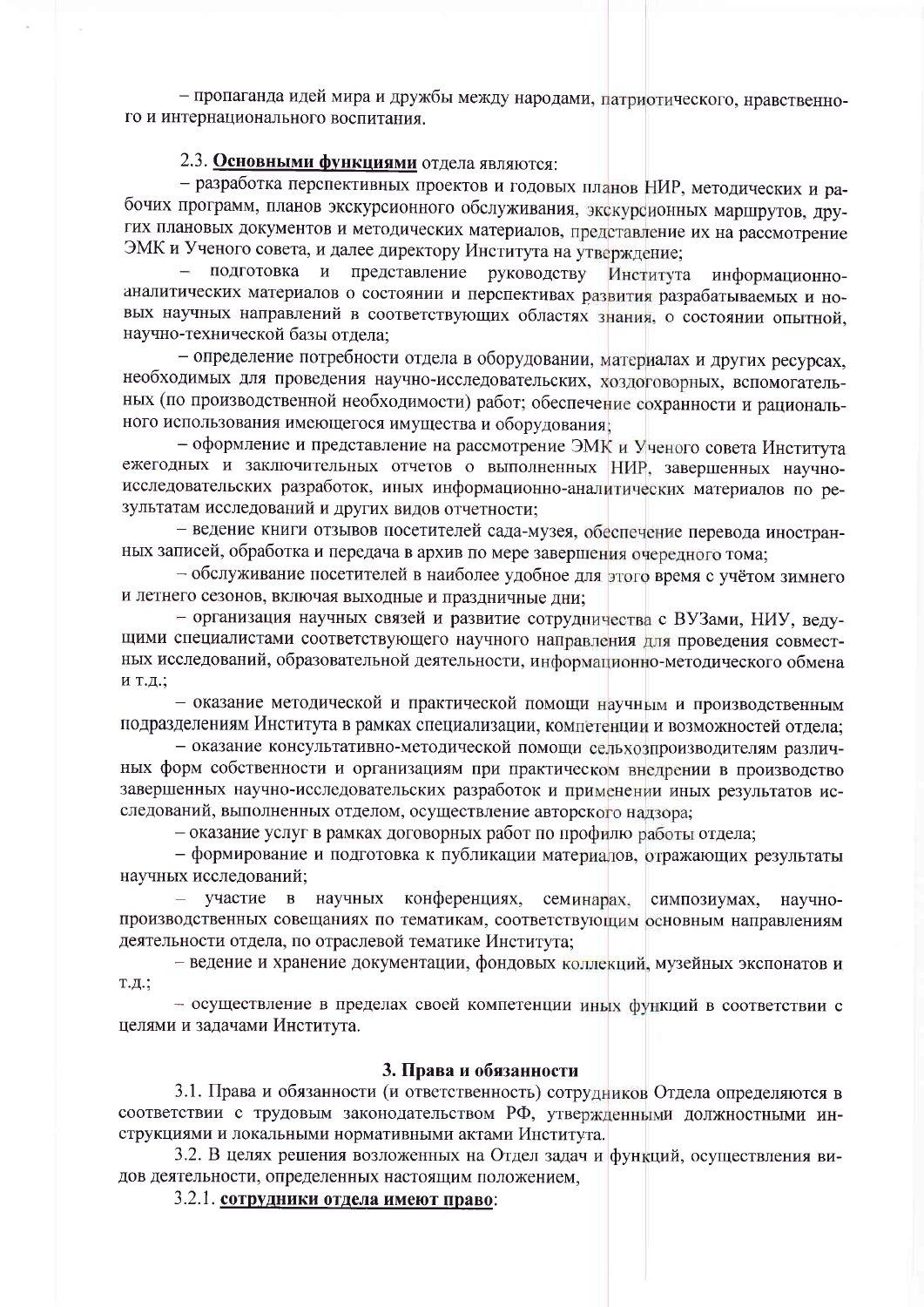- пропаганда идей мира и дружбы между народами, патриотического, нравственного и интернационального воспитания.

## 2.3. Основными функциями отдела являются:

- разработка перспективных проектов и годовых планов НИР, методических и рабочих программ, планов экскурсионного обслуживания, экскурсионных маршрутов, других плановых документов и методических материалов, представление их на рассмотрение ЭМК и Ученого совета, и далее директору Института на утверждение:

подготовка и представление руководству Института информационноаналитических материалов о состоянии и перспективах развития разрабатываемых и новых научных направлений в соответствующих областях знания, о состоянии опытной, научно-технической базы отдела;

- определение потребности отдела в оборудовании, материалах и других ресурсах, необходимых для проведения научно-исследовательских, хоздоговорных, вспомогательных (по производственной необходимости) работ; обеспечение сохранности и рационального использования имеющегося имущества и оборудования;

– оформление и представление на рассмотрение ЭМК и Ученого совета Института ежегодных и заключительных отчетов о выполненных НИР, завершенных научноисследовательских разработок, иных информационно-аналитических материалов по результатам исследований и других видов отчетности;

- ведение книги отзывов посетителей сада-музея, обеспечение перевода иностранных записей, обработка и передача в архив по мере завершения очередного тома;

- обслуживание посетителей в наиболее удобное для этого время с учётом зимнего и летнего сезонов, включая выходные и праздничные дни;

- организация научных связей и развитие сотрудничества с ВУЗами, НИУ, ведущими специалистами соответствующего научного направления для проведения совместных исследований, образовательной деятельности, информационно-методического обмена и т.д.;

- оказание методической и практической помощи научным и производственным подразделениям Института в рамках специализации, компетенции и возможностей отлела:

- оказание консультативно-методической помощи сельхозпроизводителям различных форм собственности и организациям при практическом внедрении в производство завершенных научно-исследовательских разработок и применении иных результатов исследований, выполненных отделом, осуществление авторского надзора:

- оказание услуг в рамках договорных работ по профилю работы отдела;

- формирование и подготовка к публикации материалов, отражающих результаты научных исследований;

участие в научных конференциях, семинарах, симпозиумах. научнопроизводственных совещаниях по тематикам, соответствующим основным направлениям деятельности отдела, по отраслевой тематике Института;

- ведение и хранение документации, фондовых коллекций, музейных экспонатов и т.д.;

- осуществление в пределах своей компетенции иных функций в соответствии с целями и задачами Института.

#### 3. Права и обязанности

3.1. Права и обязанности (и ответственность) сотрудников Отдела определяются в соответствии с трудовым законодательством РФ, утвержденными должностными инструкциями и локальными нормативными актами Института.

3.2. В целях решения возложенных на Отдел задач и функций, осуществления видов деятельности, определенных настоящим положением,

3.2.1. сотрудники отдела имеют право: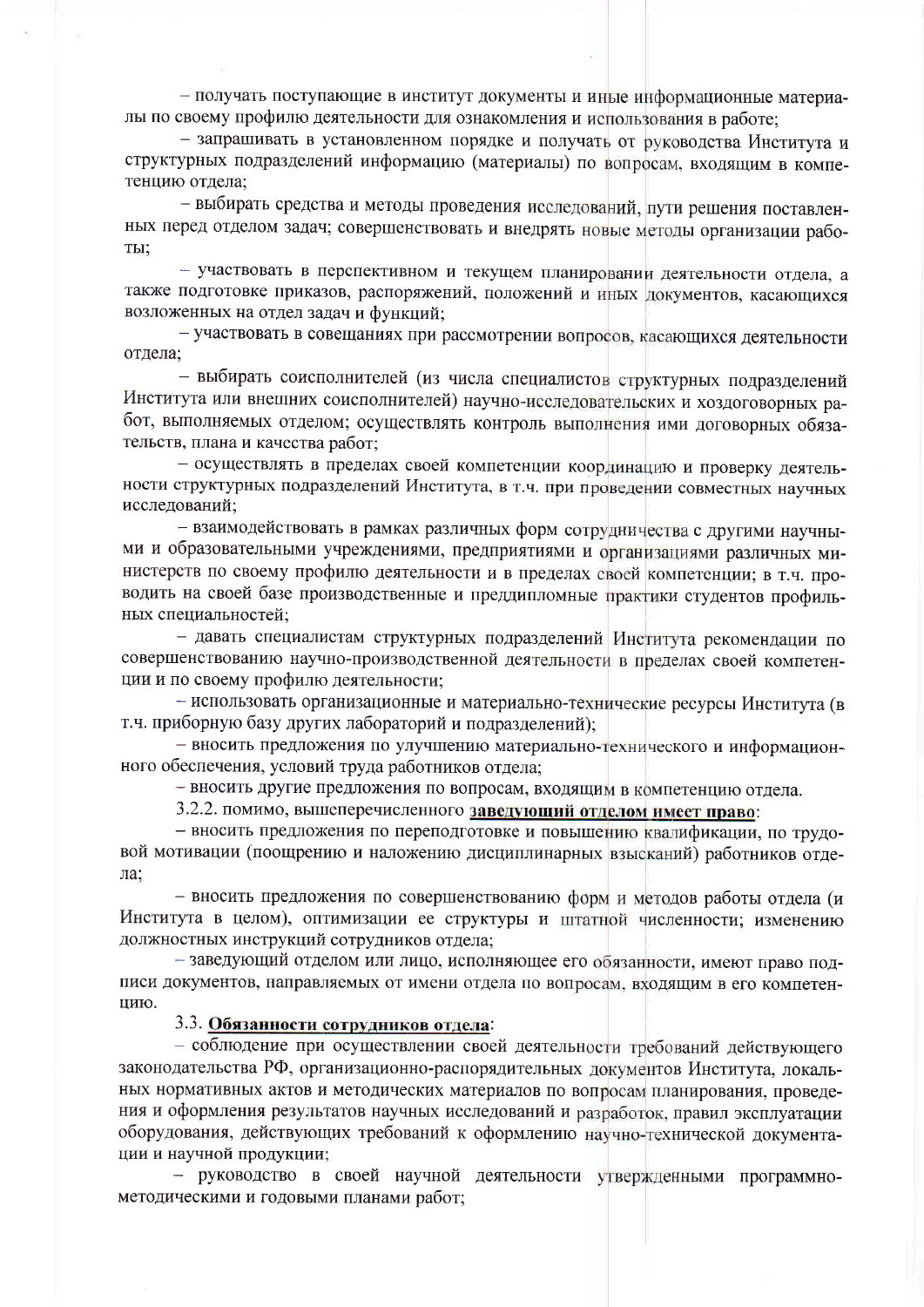- получать поступающие в институт документы и иные информационные материалы по своему профилю деятельности для ознакомления и использования в работе;

- запрашивать в установленном порядке и получать от руководства Института и структурных подразделений информацию (материалы) по вопросам, входящим в компетенцию отдела;

- выбирать средства и методы проведения исследований, пути решения поставленных перед отделом задач; совершенствовать и внедрять новые методы организации рабо-TЫ;

- участвовать в перспективном и текущем планировании деятельности отдела, а также подготовке приказов, распоряжений, положений и иных документов, касающихся возложенных на отдел задач и функций;

- участвовать в совещаниях при рассмотрении вопросов, касающихся деятельности отдела;

- выбирать соисполнителей (из числа специалистов структурных подразделений Института или внешних соисполнителей) научно-исследовательских и хоздоговорных работ, выполняемых отделом; осуществлять контроль выполнения ими договорных обязательств, плана и качества работ;

- осуществлять в пределах своей компетенции координацию и проверку деятельности структурных подразделений Института, в т.ч. при проведении совместных научных исследований:

- взаимодействовать в рамках различных форм сотрудничества с другими научными и образовательными учреждениями, предприятиями и организациями различных министерств по своему профилю деятельности и в пределах своей компетенции; в т.ч. проводить на своей базе производственные и преддипломные практики студентов профильных специальностей;

- давать специалистам структурных подразделений Института рекомендации по совершенствованию научно-производственной деятельности в пределах своей компетенции и по своему профилю деятельности;

- использовать организационные и материально-технические ресурсы Института (в т.ч. приборную базу других лабораторий и подразделений);

- вносить предложения по улучшению материально-технического и информационного обеспечения, условий труда работников отдела;

- вносить другие предложения по вопросам, входящим в компетенцию отдела.

3.2.2. помимо, вышеперечисленного заведующий отделом имеет право:

- вносить предложения по переподготовке и повышению квалификации, по трудовой мотивации (поощрению и наложению дисциплинарных взысканий) работников отдела:

- вносить предложения по совершенствованию форм и методов работы отдела (и Института в целом), оптимизации ее структуры и штатной численности; изменению должностных инструкций сотрудников отдела;

- заведующий отделом или лицо, исполняющее его обязанности, имеют право полписи документов, направляемых от имени отдела по вопросам, входящим в его компетенцию.

#### 3.3. Обязанности сотрудников отдела:

- соблюдение при осуществлении своей деятельности требований действующего законодательства РФ, организационно-распорядительных документов Института, локальных нормативных актов и методических материалов по вопросам планирования, проведения и оформления результатов научных исследований и разработок, правил эксплуатации оборудования, действующих требований к оформлению научно-технической документации и научной продукции;

- руководство в своей научной деятельности утвержденными программнометодическими и годовыми планами работ;